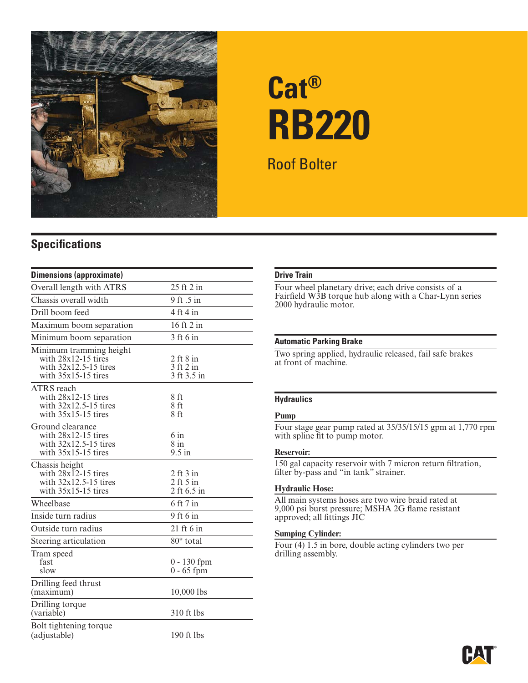

# **Cat® RB220**

Roof Bolter

### **Specifications**

| <b>Dimensions (approximate)</b>                                                                        |                                               |
|--------------------------------------------------------------------------------------------------------|-----------------------------------------------|
| Overall length with ATRS                                                                               | 25 ft 2 in                                    |
| Chassis overall width                                                                                  | 9 ft .5 in                                    |
| Drill boom feed                                                                                        | 4 ft 4 in                                     |
| Maximum boom separation                                                                                | 16 ft 2 in                                    |
| Minimum boom separation                                                                                | 3 ft 6 in                                     |
| Minimum tramming height<br>with $28x12-15$ tires<br>with $32x12.5-15$ tires<br>with 35x15-15 tires     | $2$ ft $8$ in<br>$3$ ft $2$ in<br>3 ft 3.5 in |
| ATRS reach<br>with $28x12-15$ tires<br>with $32x12.5-15$ tires<br>with $35x15-15$ tires                | 8 ft<br>8 ft<br>8 ft                          |
| Ground clearance<br>with $28x12-15$ tires<br>with $32x12.5-15$ tires<br>with 35x15-15 tires            | $6 \text{ in}$<br>$8$ in<br>$9.5$ in          |
| Chassis height<br>with $28x\overline{1}2-15$ tires<br>with $32x12.5-15$ tires<br>with $35x15-15$ tires | $2$ ft $3$ in<br>$2$ ft $5$ in<br>2 ft 6.5 in |
| Wheelbase                                                                                              | 6 ft 7 in                                     |
| Inside turn radius                                                                                     | 9 ft 6 in                                     |
| Outside turn radius                                                                                    | 21 ft 6 in                                    |
| Steering articulation                                                                                  | 80° total                                     |
| Tram speed<br>fast<br>slow                                                                             | $0 - 130$ fpm<br>$0 - 65$ fpm                 |
| Drilling feed thrust<br>(maximum)                                                                      | 10,000 lbs                                    |
| Drilling torque<br>(variable)                                                                          | 310 ft lbs                                    |
| Bolt tightening torque<br>(adjustable)                                                                 | $190$ ft lbs                                  |

#### **Drive Train**

Four wheel planetary drive; each drive consists of a Fairfield W3B torque hub along with a Char-Lynn series 2000 hydraulic motor.

#### **Automatic Parking Brake**

Two spring applied, hydraulic released, fail safe brakes at front of machine.

#### **Hydraulics**

#### **Pump**

Four stage gear pump rated at 35/35/15/15 gpm at 1,770 rpm with spline fit to pump motor.

#### **Reservoir:**

150 gal capacity reservoir with 7 micron return filtration, filter by-pass and "in tank" strainer.

#### **Hydraulic Hose:**

All main systems hoses are two wire braid rated at 9,000 psi burst pressure; MSHA 2G flame resistant approved; all fittings JIC

#### **Sumping Cylinder:**

Four (4) 1.5 in bore, double acting cylinders two per drilling assembly.

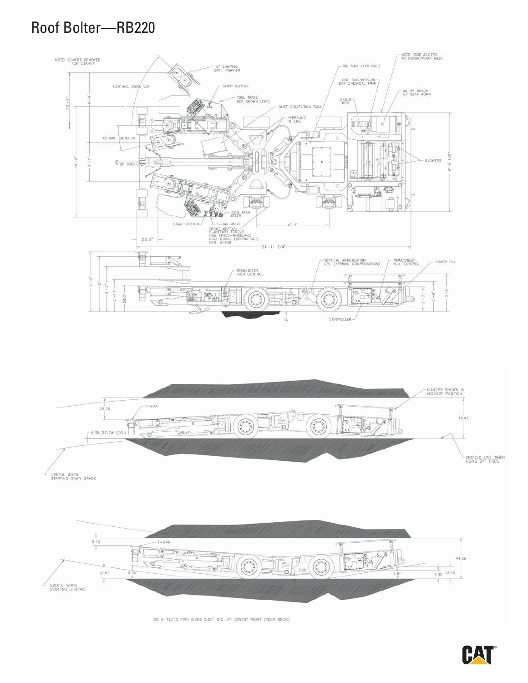## Roof Bolter-RB220





28 X 12/15 TIRE GIVES 5.28" G.C. AT LOWEST POINT (REAR DECK)

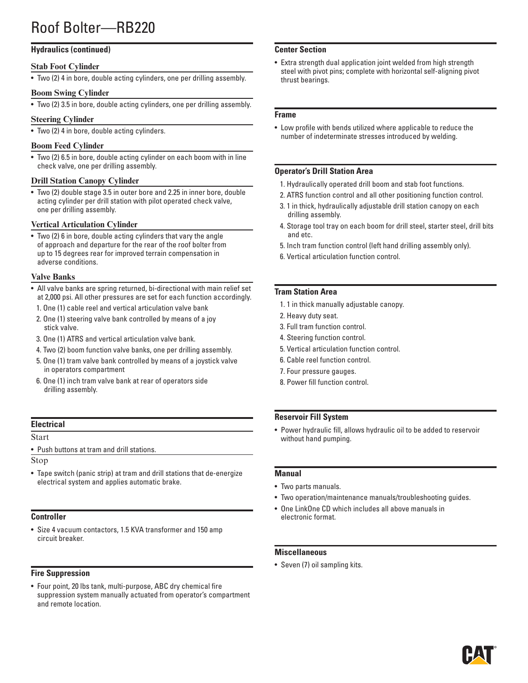#### **Hydraulics (continued)**

#### **Stab Foot Cylinder**

• Two (2) 4 in bore, double acting cylinders, one per drilling assembly.

#### **Boom Swing Cylinder**

• Two (2) 3.5 in bore, double acting cylinders, one per drilling assembly.

#### **Steering Cylinder**

• Two (2) 4 in bore, double acting cylinders.

#### **Boom Feed Cylinder**

• Two (2) 6.5 in bore, double acting cylinder on each boom with in line check valve, one per drilling assembly.

#### **Drill Station Canopy Cylinder**

• Two (2) double stage 3.5 in outer bore and 2.25 in inner bore, double acting cylinder per drill station with pilot operated check valve, one per drilling assembly.

#### **Vertical Articulation Cylinder**

• Two (2) 6 in bore, double acting cylinders that vary the angle of approach and departure for the rear of the roof bolter from up to 15 degrees rear for improved terrain compensation in adverse conditions.

#### **Valve Banks**

- All valve banks are spring returned, bi-directional with main relief set at 2,000 psi. All other pressures are set for each function accordingly.
- 1. One (1) cable reel and vertical articulation valve bank
- 2. One (1) steering valve bank controlled by means of a joy stick valve.
- 3. One (1) ATRS and vertical articulation valve bank.
- 4. Two (2) boom function valve banks, one per drilling assembly.
- 5. One (1) tram valve bank controlled by means of a joystick valve in operators compartment
- 6. One (1) inch tram valve bank at rear of operators side drilling assembly.

#### **Electrical**

#### Start

• Push buttons at tram and drill stations.

#### Stop

• Tape switch (panic strip) at tram and drill stations that de-energize electrical system and applies automatic brake.

#### **Controller**

• Size 4 vacuum contactors, 1.5 KVA transformer and 150 amp circuit breaker.

#### **Fire Suppression**

• Four point, 20 lbs tank, multi-purpose, ABC dry chemical fire suppression system manually actuated from operator's compartment and remote location.

#### **Center Section**

• Extra strength dual application joint welded from high strength steel with pivot pins; complete with horizontal self-aligning pivot thrust bearings.

#### **Frame**

• Low profile with bends utilized where applicable to reduce the number of indeterminate stresses introduced by welding.

#### **Operator's Drill Station Area**

- 1. Hydraulically operated drill boom and stab foot functions.
- 2. ATRS function control and all other positioning function control.
- 3. 1 in thick, hydraulically adjustable drill station canopy on each drilling assembly.
- 4. Storage tool tray on each boom for drill steel, starter steel, drill bits and etc.
- 5. Inch tram function control (left hand drilling assembly only).
- 6. Vertical articulation function control.

#### **Tram Station Area**

- 1. 1 in thick manually adjustable canopy.
- 2. Heavy duty seat.
- 3. Full tram function control.
- 4. Steering function control.
- 5. Vertical articulation function control.
- 6. Cable reel function control.
- 7. Four pressure gauges.
- 8. Power fill function control.

#### **Reservoir Fill System**

• Power hydraulic fill, allows hydraulic oil to be added to reservoir without hand pumping.

#### **Manual**

- Two parts manuals.
- Two operation/maintenance manuals/troubleshooting guides.
- One LinkOne CD which includes all above manuals in electronic format.

#### **Miscellaneous**

• Seven (7) oil sampling kits.